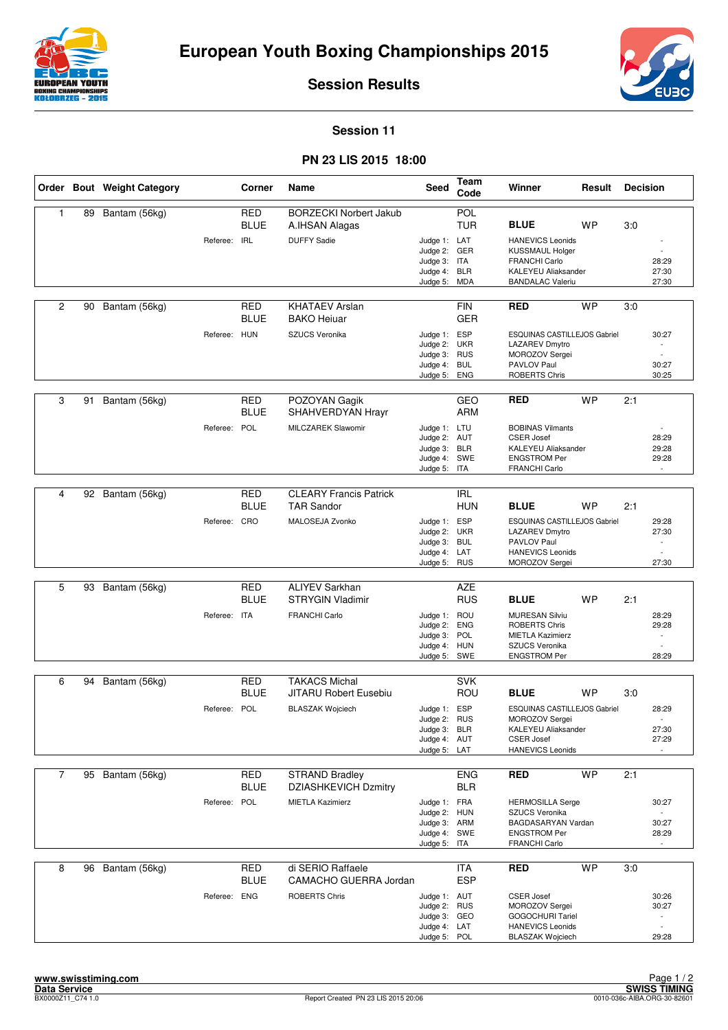



**Session Results**

## **Session 11**

## **PN 23 LIS 2015 18:00**

|                |    | Order Bout Weight Category |              | Corner                    | Name                                            | <b>Seed</b>                  | Team<br>Code             | Winner                                                | Result    | <b>Decision</b> |                          |
|----------------|----|----------------------------|--------------|---------------------------|-------------------------------------------------|------------------------------|--------------------------|-------------------------------------------------------|-----------|-----------------|--------------------------|
| $\mathbf{1}$   | 89 | Bantam (56kg)              |              | <b>RED</b><br><b>BLUE</b> | <b>BORZECKI Norbert Jakub</b><br>A.IHSAN Alagas |                              | POL<br><b>TUR</b>        | <b>BLUE</b>                                           | <b>WP</b> | 3:0             |                          |
|                |    |                            | Referee: IRL |                           | <b>DUFFY Sadie</b>                              | Judge 1: LAT                 |                          | <b>HANEVICS Leonids</b>                               |           |                 |                          |
|                |    |                            |              |                           |                                                 | Judge 2: GER                 |                          | <b>KUSSMAUL Holger</b>                                |           |                 |                          |
|                |    |                            |              |                           |                                                 | Judge 3: ITA<br>Judge 4: BLR |                          | <b>FRANCHI Carlo</b><br>KALEYEU Aliaksander           |           |                 | 28:29<br>27:30           |
|                |    |                            |              |                           |                                                 | Judge 5: MDA                 |                          | <b>BANDALAC Valeriu</b>                               |           |                 | 27:30                    |
|                |    |                            |              |                           |                                                 |                              |                          |                                                       |           |                 |                          |
| $\overline{c}$ | 90 | Bantam (56kg)              |              | <b>RED</b><br><b>BLUE</b> | <b>KHATAEV Arslan</b><br><b>BAKO Heiuar</b>     |                              | <b>FIN</b><br><b>GER</b> | <b>RED</b>                                            | <b>WP</b> | 3:0             |                          |
|                |    |                            | Referee: HUN |                           | SZUCS Veronika                                  | Judge 1: ESP                 |                          | ESQUINAS CASTILLEJOS Gabriel                          |           |                 | 30:27                    |
|                |    |                            |              |                           |                                                 | Judge 2: UKR<br>Judge 3: RUS |                          | LAZAREV Dmytro<br>MOROZOV Sergei                      |           |                 |                          |
|                |    |                            |              |                           |                                                 | Judge 4:                     | <b>BUL</b>               | PAVLOV Paul                                           |           |                 | 30:27                    |
|                |    |                            |              |                           |                                                 | Judge 5:                     | <b>ENG</b>               | ROBERTS Chris                                         |           |                 | 30:25                    |
|                |    |                            |              |                           |                                                 |                              |                          |                                                       |           |                 |                          |
| 3              | 91 | Bantam (56kg)              |              | <b>RED</b><br>BLUE        | POZOYAN Gagik<br>SHAHVERDYAN Hrayr              |                              | <b>GEO</b><br><b>ARM</b> | <b>RED</b>                                            | <b>WP</b> | 2:1             |                          |
|                |    |                            | Referee: POL |                           | MILCZAREK Slawomir                              | Judge 1: LTU                 |                          | <b>BOBINAS Vilmants</b>                               |           |                 |                          |
|                |    |                            |              |                           |                                                 | Judge 2: AUT<br>Judge 3: BLR |                          | <b>CSER Josef</b><br><b>KALEYEU Aliaksander</b>       |           |                 | 28:29<br>29:28           |
|                |    |                            |              |                           |                                                 | Judge 4: SWE                 |                          | <b>ENGSTROM Per</b>                                   |           |                 | 29:28                    |
|                |    |                            |              |                           |                                                 | Judge 5:                     | ITA                      | <b>FRANCHI Carlo</b>                                  |           |                 |                          |
| 4              |    |                            |              | <b>RED</b>                | <b>CLEARY Francis Patrick</b>                   |                              | <b>IRL</b>               |                                                       |           |                 |                          |
|                | 92 | Bantam (56kg)              |              | <b>BLUE</b>               | <b>TAR Sandor</b>                               |                              | <b>HUN</b>               | <b>BLUE</b>                                           | <b>WP</b> | 2:1             |                          |
|                |    |                            | Referee: CRO |                           | MALOSEJA Zvonko                                 | Judge 1: ESP<br>Judge 2: UKR |                          | ESQUINAS CASTILLEJOS Gabriel<br><b>LAZAREV Dmytro</b> |           |                 | 29:28<br>27:30           |
|                |    |                            |              |                           |                                                 | Judge 3: BUL                 |                          | PAVLOV Paul                                           |           |                 | $\overline{\phantom{a}}$ |
|                |    |                            |              |                           |                                                 | Judge 4: LAT                 |                          | <b>HANEVICS Leonids</b>                               |           |                 |                          |
|                |    |                            |              |                           |                                                 | Judge 5: RUS                 |                          | MOROZOV Sergei                                        |           |                 | 27:30                    |
| 5              | 93 | Bantam (56kg)              |              | <b>RED</b>                | <b>ALIYEV Sarkhan</b>                           |                              | <b>AZE</b>               |                                                       |           |                 |                          |
|                |    |                            |              | <b>BLUE</b>               | <b>STRYGIN Vladimir</b>                         |                              | <b>RUS</b>               | <b>BLUE</b>                                           | <b>WP</b> | 2:1             |                          |
|                |    |                            | Referee: ITA |                           | <b>FRANCHI Carlo</b>                            | Judge 1: ROU                 |                          | <b>MURESAN Silviu</b>                                 |           |                 | 28:29                    |
|                |    |                            |              |                           |                                                 | Judge 2:<br>Judge 3: POL     | <b>ENG</b>               | <b>ROBERTS Chris</b><br><b>MIETLA Kazimierz</b>       |           |                 | 29:28                    |
|                |    |                            |              |                           |                                                 | Judge 4: HUN                 |                          | SZUCS Veronika                                        |           |                 |                          |
|                |    |                            |              |                           |                                                 | Judge 5: SWE                 |                          | <b>ENGSTROM Per</b>                                   |           |                 | 28:29                    |
| 6              | 94 | Bantam (56kg)              |              | <b>RED</b>                | <b>TAKACS Michal</b>                            |                              | <b>SVK</b>               |                                                       |           |                 |                          |
|                |    |                            |              | <b>BLUE</b>               | <b>JITARU Robert Eusebiu</b>                    |                              | ROU                      | <b>BLUE</b>                                           | <b>WP</b> | 3.0             |                          |
|                |    |                            | Referee: POL |                           | <b>BLASZAK Wojciech</b>                         | Judge 1: ESP                 |                          | ESQUINAS CASTILLEJOS Gabriel                          |           |                 | 28:29                    |
|                |    |                            |              |                           |                                                 | Judge 2: RUS                 |                          | MOROZOV Sergei                                        |           |                 |                          |
|                |    |                            |              |                           |                                                 | Judge 3: BLR<br>Judge 4: AUT |                          | KALEYEU Aliaksander<br><b>CSER Josef</b>              |           |                 | 27:30<br>27:29           |
|                |    |                            |              |                           |                                                 | Judge 5: LAT                 |                          | <b>HANEVICS Leonids</b>                               |           |                 |                          |
|                |    |                            |              |                           |                                                 |                              |                          |                                                       |           |                 |                          |
| $\overline{7}$ | 95 | Bantam (56kg)              |              | <b>RED</b>                | <b>STRAND Bradley</b>                           |                              | <b>ENG</b>               | <b>RED</b>                                            | <b>WP</b> | 2:1             |                          |
|                |    |                            |              | BLUE                      | <b>DZIASHKEVICH Dzmitry</b>                     |                              | <b>BLR</b>               |                                                       |           |                 |                          |
|                |    |                            | Referee: POL |                           | <b>MIETLA Kazimierz</b>                         | Judge 1: FRA                 |                          | <b>HERMOSILLA Serge</b>                               |           |                 | 30:27                    |
|                |    |                            |              |                           |                                                 | Judge 2: HUN<br>Judge 3: ARM |                          | SZUCS Veronika<br>BAGDASARYAN Vardan                  |           |                 | 30:27                    |
|                |    |                            |              |                           |                                                 | Judge 4: SWE                 |                          | <b>ENGSTROM Per</b>                                   |           |                 | 28:29                    |
|                |    |                            |              |                           |                                                 | Judge 5: ITA                 |                          | <b>FRANCHI Carlo</b>                                  |           |                 |                          |
| 8              | 96 | Bantam (56kg)              |              | <b>RED</b>                | di SERIO Raffaele                               |                              | ITA                      | <b>RED</b>                                            | <b>WP</b> | 3:0             |                          |
|                |    |                            |              | <b>BLUE</b>               | CAMACHO GUERRA Jordan                           |                              | <b>ESP</b>               |                                                       |           |                 |                          |
|                |    |                            | Referee: ENG |                           | <b>ROBERTS Chris</b>                            | Judge 1: AUT                 |                          | <b>CSER Josef</b>                                     |           |                 | 30:26                    |
|                |    |                            |              |                           |                                                 | Judge 2: RUS                 |                          | MOROZOV Sergei                                        |           |                 | 30:27                    |
|                |    |                            |              |                           |                                                 | Judge 3: GEO                 |                          | <b>GOGOCHURI Tariel</b>                               |           |                 |                          |
|                |    |                            |              |                           |                                                 | Judge 4: LAT<br>Judge 5: POL |                          | <b>HANEVICS Leonids</b><br><b>BLASZAK Wojciech</b>    |           |                 | ÷,<br>29:28              |